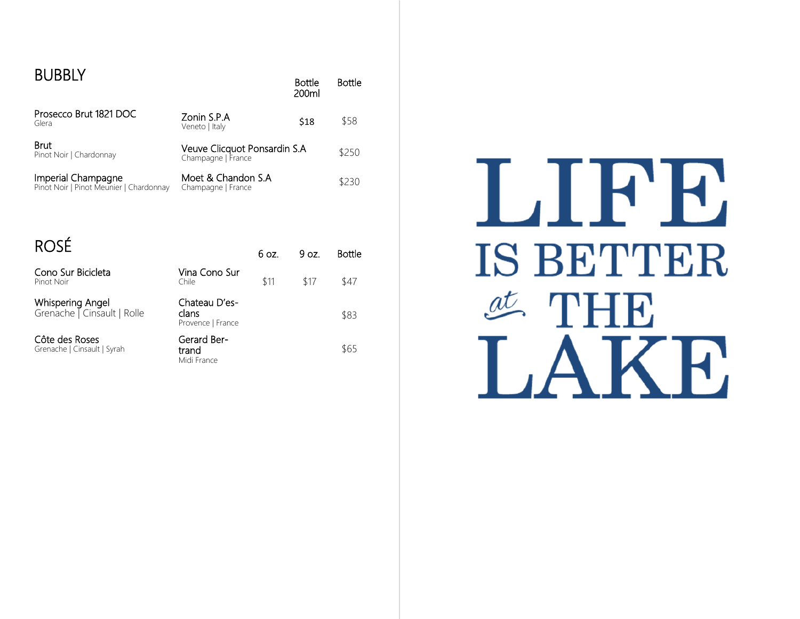#### BUBBLY

|                                                               |                                                    | BOTTIE<br>200ml | BOTTIE |
|---------------------------------------------------------------|----------------------------------------------------|-----------------|--------|
| Prosecco Brut 1821 DOC<br>Glera                               | Zonin S.P.A<br>Veneto   Italy                      | \$18            | \$58   |
| <b>Brut</b><br>Pinot Noir   Chardonnay                        | Veuve Clicquot Ponsardin S.A<br>Champagne   France |                 | \$250  |
| Imperial Champagne<br>Pinot Noir   Pinot Meunier   Chardonnay | Moet & Chandon S.A<br>Champagne   France           |                 | \$230  |

Bottle

Bottle College

| <b>ROSÉ</b>                                            |                                             | 6 oz. | 9 oz. | <b>Bottle</b> |
|--------------------------------------------------------|---------------------------------------------|-------|-------|---------------|
| Cono Sur Bicicleta<br>Pinot Noir                       | Vina Cono Sur<br>Chile                      | \$11  | \$17  | \$47          |
| <b>Whispering Angel</b><br>Grenache   Cinsault   Rolle | Chateau D'es-<br>clans<br>Provence   France |       |       | \$83          |
| Côte des Roses<br>Grenache   Cinsault   Syrah          | Gerard Ber-<br>trand<br>Midi France         |       |       | \$65          |

## LIPB **IS BETTER**  $a t$  THE **TAKE**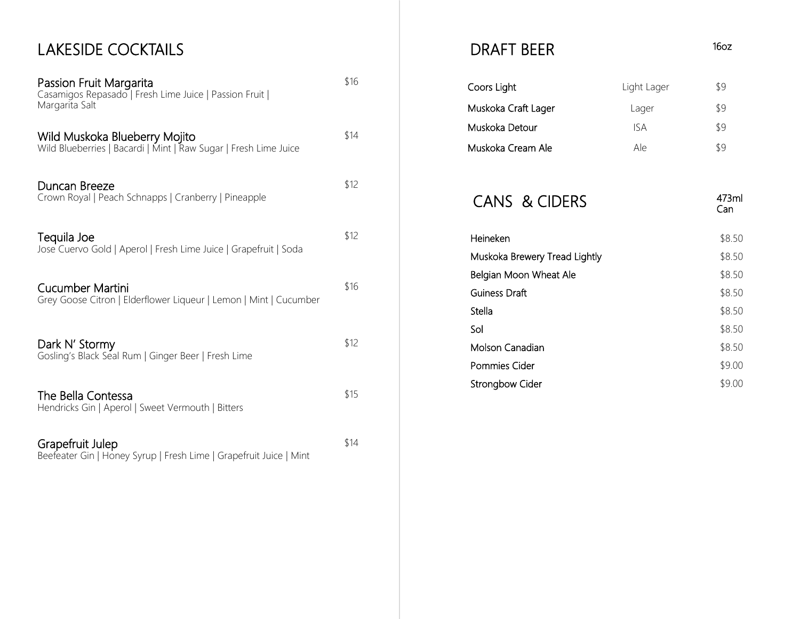#### LAKESIDE COCKTAILS

| Passion Fruit Margarita<br>Casamigos Repasado   Fresh Lime Juice   Passion Fruit  <br>Margarita Salt | \$16 |
|------------------------------------------------------------------------------------------------------|------|
| Wild Muskoka Blueberry Mojito<br>Wild Blueberries   Bacardi   Mint   Raw Sugar   Fresh Lime Juice    | \$14 |
| Duncan Breeze<br>Crown Royal   Peach Schnapps   Cranberry   Pineapple                                | \$12 |
| Tequila Joe<br>Jose Cuervo Gold   Aperol   Fresh Lime Juice   Grapefruit   Soda                      | \$12 |
| Cucumber Martini<br>Grey Goose Citron   Elderflower Liqueur   Lemon   Mint   Cucumber                | \$16 |
| Dark N' Stormy<br>Gosling's Black Seal Rum   Ginger Beer   Fresh Lime                                | \$12 |
| The Bella Contessa<br>Hendricks Gin   Aperol   Sweet Vermouth   Bitters                              | \$15 |
| Grapefruit Julep                                                                                     | \$14 |

Beefeater Gin | Honey Syrup | Fresh Lime | Grapefruit Juice | Mint

#### DRAFT BEER 160z

| Coors Light         | Light Lager | \$9 |
|---------------------|-------------|-----|
| Muskoka Craft Lager | Lager       | \$9 |
| Muskoka Detour      | ISA         | \$9 |
| Muskoka Cream Ale   | Ale         | \$9 |

CANS & CIDERS J

473ml Can

| Heineken                      | \$8.50 |
|-------------------------------|--------|
| Muskoka Brewery Tread Lightly | \$8.50 |
| Belgian Moon Wheat Ale        | \$8.50 |
| Guiness Draft                 | \$8.50 |
| Stella                        | \$8.50 |
| Sol                           | \$8.50 |
| Molson Canadian               | \$8.50 |
| Pommies Cider                 | \$9.00 |
| Strongbow Cider               | \$9.00 |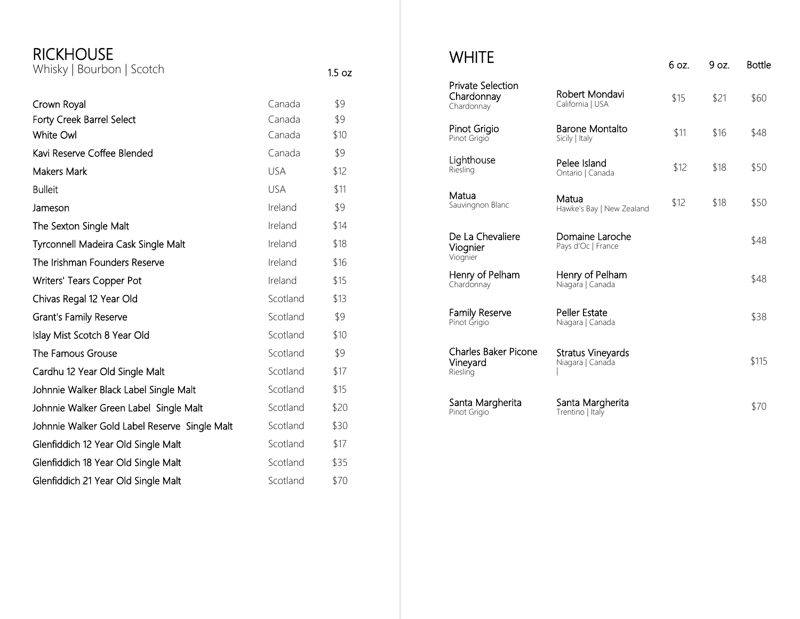### RICKHOUSE Whisky | Bourbon | Scotch

| Crown Royal                                   | Canada     | \$9  |
|-----------------------------------------------|------------|------|
| Forty Creek Barrel Select                     | Canada     | \$9  |
| White Owl                                     | Canada     | \$10 |
| Kavi Reserve Coffee Blended                   | Canada     | \$9  |
| <b>Makers Mark</b>                            | <b>USA</b> | \$12 |
| <b>Bulleit</b>                                | <b>USA</b> | \$11 |
| Jameson                                       | Ireland    | \$9  |
| The Sexton Single Malt                        | Ireland    | \$14 |
| Tyrconnell Madeira Cask Single Malt           | Ireland    | \$18 |
| The Irishman Founders Reserve                 | Ireland    | \$16 |
| Writers' Tears Copper Pot                     | Ireland    | \$15 |
| Chivas Regal 12 Year Old                      | Scotland   | \$13 |
| Grant's Family Reserve                        | Scotland   | \$9  |
| Islay Mist Scotch 8 Year Old                  | Scotland   | \$10 |
| The Famous Grouse                             | Scotland   | \$9  |
| Cardhu 12 Year Old Single Malt                | Scotland   | \$17 |
| Johnnie Walker Black Label Single Malt        | Scotland   | \$15 |
| Johnnie Walker Green Label Single Malt        | Scotland   | \$20 |
| Johnnie Walker Gold Label Reserve Single Malt | Scotland   | \$30 |
| Glenfiddich 12 Year Old Single Malt           | Scotland   | \$17 |
| Glenfiddich 18 Year Old Single Malt           | Scotland   | \$35 |
| Glenfiddich 21 Year Old Single Malt           | Scotland   | \$70 |

#### **WHITE**

1.5 oz

| <b>Private Selection</b><br>Chardonnay<br>Chardonnay | Robert Mondavi<br>California   USA    | \$15 | \$21 | \$60  |
|------------------------------------------------------|---------------------------------------|------|------|-------|
| Pinot Grigio<br>Pinot Grigio                         | Barone Montalto<br>Sicily   Italy     | \$11 | \$16 | \$48  |
| Lighthouse<br>Riesling                               | Pelee Island<br>Ontario   Canada      | \$12 | \$18 | \$50  |
| Matua<br>Sauvingnon Blanc                            | Matua<br>Hawke's Bay   New Zealand    | \$12 | \$18 | \$50  |
| De La Chevaliere<br>Viognier<br>Viognier             | Domaine Laroche<br>Pays d'Oc   France |      |      | \$48  |
| Henry of Pelham<br>Chardonnay                        | Henry of Pelham<br>Niagara   Canada   |      |      | \$48  |
| <b>Family Reserve</b><br>Pinot Grigio                | Peller Estate<br>Niagara   Canada     |      |      | \$38  |
| <b>Charles Baker Picone</b><br>Vineyard<br>Riesling  | Stratus Vineyards<br>Niagara   Canada |      |      | \$115 |
| Santa Margherita<br>Pinot Grigio                     | Santa Margherita<br>Trentino   Italy  |      |      | \$70  |

6 oz.

9 oz. Bottle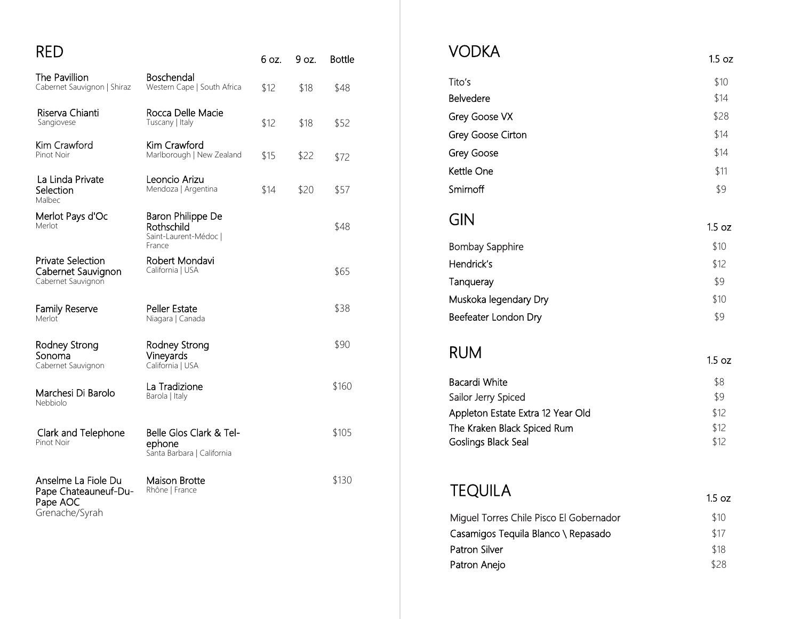| RED                                                                       |                                                                    | 6 oz. | 9 oz. | <b>Bottle</b> |
|---------------------------------------------------------------------------|--------------------------------------------------------------------|-------|-------|---------------|
| The Pavillion<br>Cabernet Sauvignon   Shiraz                              | Boschendal<br>Western Cape   South Africa                          | \$12  | \$18  | \$48          |
| Riserva Chianti<br>Sangiovese                                             | Rocca Delle Macie<br>Tuscany   Italy                               | \$12  | \$18  | \$52          |
| Kim Crawford<br>Pinot Noir                                                | Kim Crawford<br>Marlborough   New Zealand                          | \$15  | \$22  | \$72          |
| La Linda Private<br>Selection<br>Malbec                                   | Leoncio Arizu<br>Mendoza   Argentina                               | \$14  | \$20  | \$57          |
| Merlot Pays d'Oc<br>Merlot                                                | Baron Philippe De<br>Rothschild<br>Saint-Laurent-Médoc  <br>France |       |       | \$48          |
| Private Selection<br>Cabernet Sauvignon<br>Cabernet Sauvignon             | Robert Mondavi<br>California   USA                                 |       |       | \$65          |
| <b>Family Reserve</b><br>Merlot                                           | Peller Estate<br>Niagara   Canada                                  |       |       | \$38          |
| Rodney Strong<br>Sonoma<br>Cabernet Sauvignon                             | Rodney Strong<br>Vineyards<br>California   USA                     |       |       | \$90          |
| Marchesi Di Barolo<br>Nebbiolo                                            | La Tradizione<br>Barola   Italy                                    |       |       | \$160         |
| Clark and Telephone<br>Pinot Noir                                         | Belle Glos Clark & Tel-<br>ephone<br>Santa Barbara   California    |       |       | \$105         |
| Anselme La Fiole Du<br>Pape Chateauneuf-Du-<br>Pape AOC<br>Grenache/Syrah | Maison Brotte<br>Rhône   France                                    |       |       | \$130         |

| VODKA                             | 1.5 oz |
|-----------------------------------|--------|
| Tito's                            | \$10   |
| Belvedere                         | \$14   |
| Grey Goose VX                     | \$28   |
| Grey Goose Cirton                 | \$14   |
| Grey Goose                        | \$14   |
| Kettle One                        | \$11   |
| Smirnoff                          | \$9    |
| GIN                               | 1.5 oz |
| <b>Bombay Sapphire</b>            | \$10   |
| Hendrick's                        | \$12   |
| Tanqueray                         | \$9    |
| Muskoka legendary Dry             | \$10   |
| Beefeater London Dry              | \$9    |
| <b>RUM</b>                        | 1.5 oz |
| Bacardi White                     | \$8    |
| Sailor Jerry Spiced               | \$9    |
| Appleton Estate Extra 12 Year Old | \$12   |
| The Kraken Black Spiced Rum       | \$12   |
| Goslings Black Seal               | \$12   |

#### TEQUILA

| <b>ILQUILA</b>                          | $1.5 \text{ oz}$ |
|-----------------------------------------|------------------|
| Miguel Torres Chile Pisco El Gobernador | \$10             |
| Casamigos Tequila Blanco \ Repasado     | \$17             |
| Patron Silver                           | \$18             |
| Patron Anejo                            | \$28             |
|                                         |                  |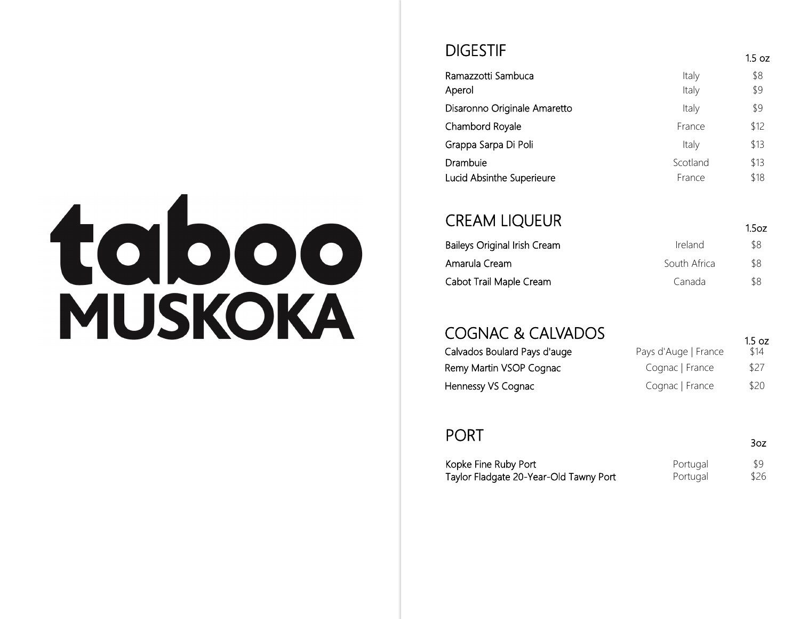# taboo **MUSKOKA**

#### DIGESTIF

| Ramazzotti Sambuca           | Italy    | \$8  |
|------------------------------|----------|------|
| Aperol                       | Italy    | \$9  |
| Disaronno Originale Amaretto | Italy    | \$9  |
| Chambord Royale              | France   | \$12 |
| Grappa Sarpa Di Poli         | Italy    | \$13 |
| Drambuie                     | Scotland | \$13 |
| Lucid Absinthe Superieure    | France   | \$18 |

1.5 oz

1.5oz

3oz

#### CREAM LIQUEUR

| <b>Baileys Original Irish Cream</b> | Ireland      | \$8 |
|-------------------------------------|--------------|-----|
| Amarula Cream                       | South Africa | \$8 |
| Cabot Trail Maple Cream             | Canada       | \$8 |

#### COGNAC & CALVADOS

|                      | $1.5 \text{ oz}$ |
|----------------------|------------------|
| Pays d'Auge   France | \$14             |
| Cognac   France      | \$27             |
| Cognac   France      | \$20             |
|                      |                  |

#### PORT PORT PORT PORT PROPERTY.

| Kopke Fine Ruby Port                   | Portugal | \$9  |
|----------------------------------------|----------|------|
| Taylor Fladgate 20-Year-Old Tawny Port | Portugal | \$26 |